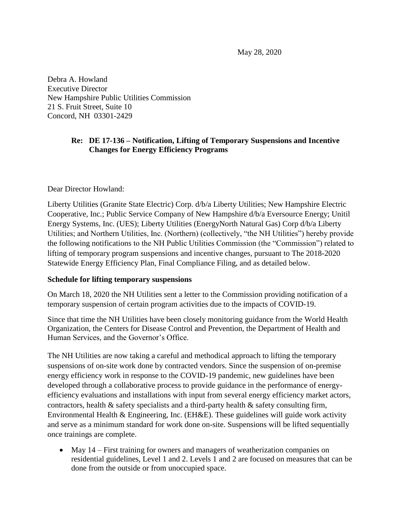May 28, 2020

Debra A. Howland Executive Director New Hampshire Public Utilities Commission 21 S. Fruit Street, Suite 10 Concord, NH 03301-2429

#### **Re: DE 17-136 – Notification, Lifting of Temporary Suspensions and Incentive Changes for Energy Efficiency Programs**

Dear Director Howland:

Liberty Utilities (Granite State Electric) Corp. d/b/a Liberty Utilities; New Hampshire Electric Cooperative, Inc.; Public Service Company of New Hampshire d/b/a Eversource Energy; Unitil Energy Systems, Inc. (UES); Liberty Utilities (EnergyNorth Natural Gas) Corp d/b/a Liberty Utilities; and Northern Utilities, Inc. (Northern) (collectively, "the NH Utilities") hereby provide the following notifications to the NH Public Utilities Commission (the "Commission") related to lifting of temporary program suspensions and incentive changes, pursuant to The 2018-2020 Statewide Energy Efficiency Plan, Final Compliance Filing, and as detailed below.

#### **Schedule for lifting temporary suspensions**

On March 18, 2020 the NH Utilities sent a letter to the Commission providing notification of a temporary suspension of certain program activities due to the impacts of COVID-19.

Since that time the NH Utilities have been closely monitoring guidance from the World Health Organization, the Centers for Disease Control and Prevention, the Department of Health and Human Services, and the Governor's Office.

The NH Utilities are now taking a careful and methodical approach to lifting the temporary suspensions of on-site work done by contracted vendors. Since the suspension of on-premise energy efficiency work in response to the COVID-19 pandemic, new guidelines have been developed through a collaborative process to provide guidance in the performance of energyefficiency evaluations and installations with input from several energy efficiency market actors, contractors, health & safety specialists and a third-party health & safety consulting firm, Environmental Health & Engineering, Inc. (EH&E). These guidelines will guide work activity and serve as a minimum standard for work done on-site. Suspensions will be lifted sequentially once trainings are complete.

• May 14 – First training for owners and managers of weatherization companies on residential guidelines, Level 1 and 2. Levels 1 and 2 are focused on measures that can be done from the outside or from unoccupied space.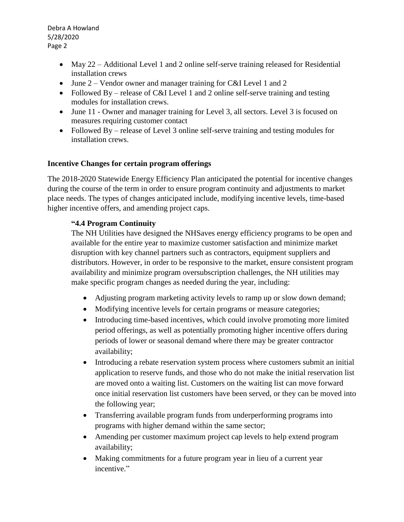Debra A Howland 5/28/2020 Page 2

- May 22 Additional Level 1 and 2 online self-serve training released for Residential installation crews
- June 2 Vendor owner and manager training for C&I Level 1 and 2
- Followed By release of C&I Level 1 and 2 online self-serve training and testing modules for installation crews.
- June 11 Owner and manager training for Level 3, all sectors. Level 3 is focused on measures requiring customer contact
- Followed By release of Level 3 online self-serve training and testing modules for installation crews.

# **Incentive Changes for certain program offerings**

The 2018-2020 Statewide Energy Efficiency Plan anticipated the potential for incentive changes during the course of the term in order to ensure program continuity and adjustments to market place needs. The types of changes anticipated include, modifying incentive levels, time-based higher incentive offers, and amending project caps.

### **"4.4 Program Continuity**

The NH Utilities have designed the NHSaves energy efficiency programs to be open and available for the entire year to maximize customer satisfaction and minimize market disruption with key channel partners such as contractors, equipment suppliers and distributors. However, in order to be responsive to the market, ensure consistent program availability and minimize program oversubscription challenges, the NH utilities may make specific program changes as needed during the year, including:

- Adjusting program marketing activity levels to ramp up or slow down demand;
- Modifying incentive levels for certain programs or measure categories;
- Introducing time-based incentives, which could involve promoting more limited period offerings, as well as potentially promoting higher incentive offers during periods of lower or seasonal demand where there may be greater contractor availability;
- Introducing a rebate reservation system process where customers submit an initial application to reserve funds, and those who do not make the initial reservation list are moved onto a waiting list. Customers on the waiting list can move forward once initial reservation list customers have been served, or they can be moved into the following year;
- Transferring available program funds from underperforming programs into programs with higher demand within the same sector;
- Amending per customer maximum project cap levels to help extend program availability;
- Making commitments for a future program year in lieu of a current year incentive."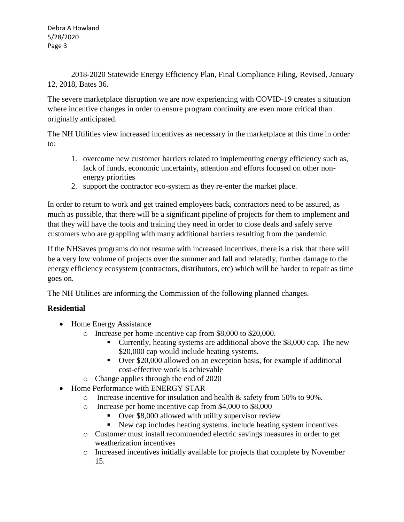2018-2020 Statewide Energy Efficiency Plan, Final Compliance Filing, Revised, January 12, 2018, Bates 36.

The severe marketplace disruption we are now experiencing with COVID-19 creates a situation where incentive changes in order to ensure program continuity are even more critical than originally anticipated.

The NH Utilities view increased incentives as necessary in the marketplace at this time in order to:

- 1. overcome new customer barriers related to implementing energy efficiency such as, lack of funds, economic uncertainty, attention and efforts focused on other nonenergy priorities
- 2. support the contractor eco-system as they re-enter the market place.

In order to return to work and get trained employees back, contractors need to be assured, as much as possible, that there will be a significant pipeline of projects for them to implement and that they will have the tools and training they need in order to close deals and safely serve customers who are grappling with many additional barriers resulting from the pandemic.

If the NHSaves programs do not resume with increased incentives, there is a risk that there will be a very low volume of projects over the summer and fall and relatedly, further damage to the energy efficiency ecosystem (contractors, distributors, etc) which will be harder to repair as time goes on.

The NH Utilities are informing the Commission of the following planned changes.

# **Residential**

- Home Energy Assistance
	- o Increase per home incentive cap from \$8,000 to \$20,000.
		- Currently, heating systems are additional above the \$8,000 cap. The new \$20,000 cap would include heating systems.
		- Over \$20,000 allowed on an exception basis, for example if additional cost-effective work is achievable
	- o Change applies through the end of 2020
- Home Performance with ENERGY STAR
	- o Increase incentive for insulation and health & safety from 50% to 90%.
	- o Increase per home incentive cap from \$4,000 to \$8,000
		- Over \$8,000 allowed with utility supervisor review
		- New cap includes heating systems. include heating system incentives
	- o Customer must install recommended electric savings measures in order to get weatherization incentives
	- o Increased incentives initially available for projects that complete by November 15.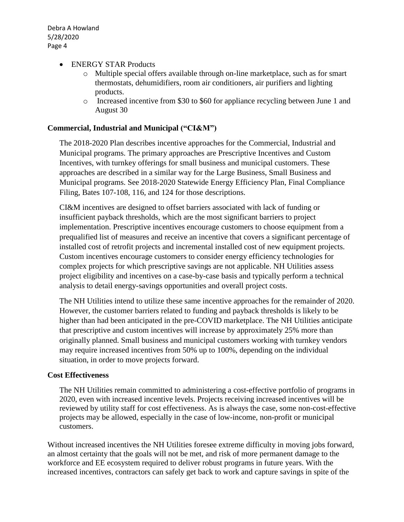- ENERGY STAR Products
	- o Multiple special offers available through on-line marketplace, such as for smart thermostats, dehumidifiers, room air conditioners, air purifiers and lighting products.
	- o Increased incentive from \$30 to \$60 for appliance recycling between June 1 and August 30

## **Commercial, Industrial and Municipal ("CI&M")**

The 2018-2020 Plan describes incentive approaches for the Commercial, Industrial and Municipal programs. The primary approaches are Prescriptive Incentives and Custom Incentives, with turnkey offerings for small business and municipal customers. These approaches are described in a similar way for the Large Business, Small Business and Municipal programs. See 2018-2020 Statewide Energy Efficiency Plan, Final Compliance Filing, Bates 107-108, 116, and 124 for those descriptions.

CI&M incentives are designed to offset barriers associated with lack of funding or insufficient payback thresholds, which are the most significant barriers to project implementation. Prescriptive incentives encourage customers to choose equipment from a prequalified list of measures and receive an incentive that covers a significant percentage of installed cost of retrofit projects and incremental installed cost of new equipment projects. Custom incentives encourage customers to consider energy efficiency technologies for complex projects for which prescriptive savings are not applicable. NH Utilities assess project eligibility and incentives on a case-by-case basis and typically perform a technical analysis to detail energy-savings opportunities and overall project costs.

The NH Utilities intend to utilize these same incentive approaches for the remainder of 2020. However, the customer barriers related to funding and payback thresholds is likely to be higher than had been anticipated in the pre-COVID marketplace. The NH Utilities anticipate that prescriptive and custom incentives will increase by approximately 25% more than originally planned. Small business and municipal customers working with turnkey vendors may require increased incentives from 50% up to 100%, depending on the individual situation, in order to move projects forward.

### **Cost Effectiveness**

The NH Utilities remain committed to administering a cost-effective portfolio of programs in 2020, even with increased incentive levels. Projects receiving increased incentives will be reviewed by utility staff for cost effectiveness. As is always the case, some non-cost-effective projects may be allowed, especially in the case of low-income, non-profit or municipal customers.

Without increased incentives the NH Utilities foresee extreme difficulty in moving jobs forward, an almost certainty that the goals will not be met, and risk of more permanent damage to the workforce and EE ecosystem required to deliver robust programs in future years. With the increased incentives, contractors can safely get back to work and capture savings in spite of the